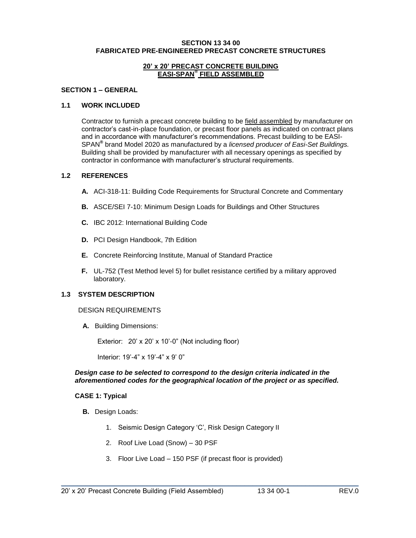#### **SECTION 13 34 00 FABRICATED PRE-ENGINEERED PRECAST CONCRETE STRUCTURES**

#### **20' x 20' PRECAST CONCRETE BUILDING EASI-SPAN® FIELD ASSEMBLED**

### **SECTION 1 – GENERAL**

#### **1.1 WORK INCLUDED**

Contractor to furnish a precast concrete building to be field assembled by manufacturer on contractor's cast-in-place foundation, or precast floor panels as indicated on contract plans and in accordance with manufacturer's recommendations. Precast building to be EASI-SPAN**®** brand Model 2020 as manufactured by a *licensed producer of Easi-Set Buildings.* Building shall be provided by manufacturer with all necessary openings as specified by contractor in conformance with manufacturer's structural requirements.

#### **1.2 REFERENCES**

- **A.** ACI-318-11: Building Code Requirements for Structural Concrete and Commentary
- **B.** ASCE/SEI 7-10: Minimum Design Loads for Buildings and Other Structures
- **C.** IBC 2012: International Building Code
- **D.** PCI Design Handbook, 7th Edition
- **E.** Concrete Reinforcing Institute, Manual of Standard Practice
- **F.** UL-752 (Test Method level 5) for bullet resistance certified by a military approved laboratory.

## **1.3 SYSTEM DESCRIPTION**

#### DESIGN REQUIREMENTS

**A.** Building Dimensions:

Exterior: 20' x 20' x 10'-0" (Not including floor)

Interior: 19'-4" x 19'-4" x 9' 0"

#### *Design case to be selected to correspond to the design criteria indicated in the aforementioned codes for the geographical location of the project or as specified.*

### **CASE 1: Typical**

- **B.** Design Loads:
	- 1. Seismic Design Category 'C', Risk Design Category II
	- 2. Roof Live Load (Snow) 30 PSF
	- 3. Floor Live Load 150 PSF (if precast floor is provided)

\_\_\_\_\_\_\_\_\_\_\_\_\_\_\_\_\_\_\_\_\_\_\_\_\_\_\_\_\_\_\_\_\_\_\_\_\_\_\_\_\_\_\_\_\_\_\_\_\_\_\_\_\_\_\_\_\_\_\_\_\_\_\_\_\_\_\_\_\_\_\_\_\_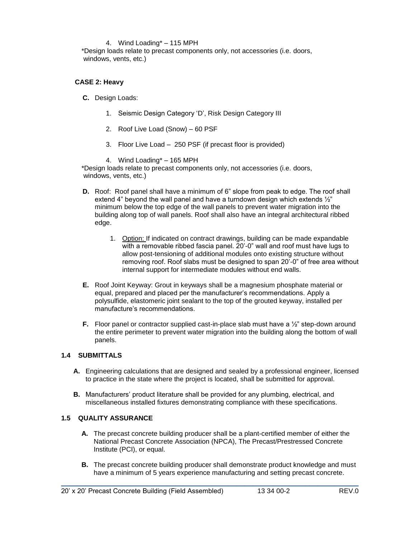#### 4. Wind Loading\* – 115 MPH

\*Design loads relate to precast components only, not accessories (i.e. doors, windows, vents, etc.)

### **CASE 2: Heavy**

- **C.** Design Loads:
	- 1. Seismic Design Category 'D', Risk Design Category III
	- 2. Roof Live Load (Snow) 60 PSF
	- 3. Floor Live Load 250 PSF (if precast floor is provided)

4. Wind Loading\* – 165 MPH

\*Design loads relate to precast components only, not accessories (i.e. doors, windows, vents, etc.)

- **D.** Roof: Roof panel shall have a minimum of 6" slope from peak to edge. The roof shall extend 4" beyond the wall panel and have a turndown design which extends ½" minimum below the top edge of the wall panels to prevent water migration into the building along top of wall panels. Roof shall also have an integral architectural ribbed edge.
	- 1. Option: If indicated on contract drawings, building can be made expandable with a removable ribbed fascia panel. 20'-0" wall and roof must have lugs to allow post-tensioning of additional modules onto existing structure without removing roof. Roof slabs must be designed to span 20'-0" of free area without internal support for intermediate modules without end walls.
- **E.** Roof Joint Keyway: Grout in keyways shall be a magnesium phosphate material or equal, prepared and placed per the manufacturer's recommendations. Apply a polysulfide, elastomeric joint sealant to the top of the grouted keyway, installed per manufacture's recommendations.
- **F.** Floor panel or contractor supplied cast-in-place slab must have a  $\frac{1}{2}$ " step-down around the entire perimeter to prevent water migration into the building along the bottom of wall panels.

### **1.4 SUBMITTALS**

- **A.** Engineering calculations that are designed and sealed by a professional engineer, licensed to practice in the state where the project is located, shall be submitted for approval.
- **B.** Manufacturers' product literature shall be provided for any plumbing, electrical, and miscellaneous installed fixtures demonstrating compliance with these specifications.

### **1.5 QUALITY ASSURANCE**

- **A.** The precast concrete building producer shall be a plant-certified member of either the National Precast Concrete Association (NPCA), The Precast/Prestressed Concrete Institute (PCI), or equal.
- **B.** The precast concrete building producer shall demonstrate product knowledge and must have a minimum of 5 years experience manufacturing and setting precast concrete.

\_\_\_\_\_\_\_\_\_\_\_\_\_\_\_\_\_\_\_\_\_\_\_\_\_\_\_\_\_\_\_\_\_\_\_\_\_\_\_\_\_\_\_\_\_\_\_\_\_\_\_\_\_\_\_\_\_\_\_\_\_\_\_\_\_\_\_\_\_\_\_\_\_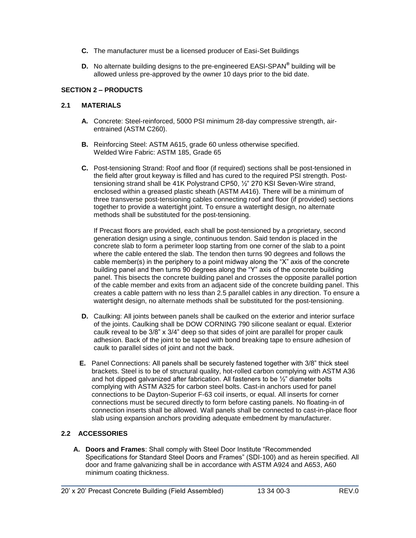- **C.** The manufacturer must be a licensed producer of Easi-Set Buildings
- **D.** No alternate building designs to the pre-engineered EASI-SPAN**®** building will be allowed unless pre-approved by the owner 10 days prior to the bid date.

## **SECTION 2 – PRODUCTS**

## **2.1 MATERIALS**

- **A.** Concrete: Steel-reinforced, 5000 PSI minimum 28-day compressive strength, airentrained (ASTM C260).
- **B.** Reinforcing Steel: ASTM A615, grade 60 unless otherwise specified. Welded Wire Fabric: ASTM 185, Grade 65
- **C.** Post-tensioning Strand: Roof and floor (if required) sections shall be post-tensioned in the field after grout keyway is filled and has cured to the required PSI strength. Posttensioning strand shall be 41K Polystrand CP50, ½" 270 KSI Seven-Wire strand, enclosed within a greased plastic sheath (ASTM A416). There will be a minimum of three transverse post-tensioning cables connecting roof and floor (if provided) sections together to provide a watertight joint. To ensure a watertight design, no alternate methods shall be substituted for the post-tensioning.

If Precast floors are provided, each shall be post-tensioned by a proprietary, second generation design using a single, continuous tendon. Said tendon is placed in the concrete slab to form a perimeter loop starting from one corner of the slab to a point where the cable entered the slab. The tendon then turns 90 degrees and follows the cable member(s) in the periphery to a point midway along the "X" axis of the concrete building panel and then turns 90 degrees along the "Y" axis of the concrete building panel. This bisects the concrete building panel and crosses the opposite parallel portion of the cable member and exits from an adjacent side of the concrete building panel. This creates a cable pattern with no less than 2.5 parallel cables in any direction. To ensure a watertight design, no alternate methods shall be substituted for the post-tensioning.

- **D.** Caulking: All joints between panels shall be caulked on the exterior and interior surface of the joints. Caulking shall be DOW CORNING 790 silicone sealant or equal. Exterior caulk reveal to be 3/8" x 3/4" deep so that sides of joint are parallel for proper caulk adhesion. Back of the joint to be taped with bond breaking tape to ensure adhesion of caulk to parallel sides of joint and not the back.
- **E.** Panel Connections: All panels shall be securely fastened together with 3/8" thick steel brackets. Steel is to be of structural quality, hot-rolled carbon complying with ASTM A36 and hot dipped galvanized after fabrication. All fasteners to be ½" diameter bolts complying with ASTM A325 for carbon steel bolts. Cast-in anchors used for panel connections to be Dayton-Superior F-63 coil inserts, or equal. All inserts for corner connections must be secured directly to form before casting panels. No floating-in of connection inserts shall be allowed. Wall panels shall be connected to cast-in-place floor slab using expansion anchors providing adequate embedment by manufacturer.

# **2.2 ACCESSORIES**

**A. Doors and Frames**: Shall comply with Steel Door Institute "Recommended Specifications for Standard Steel Doors and Frames" (SDI-100) and as herein specified. All door and frame galvanizing shall be in accordance with ASTM A924 and A653, A60 minimum coating thickness.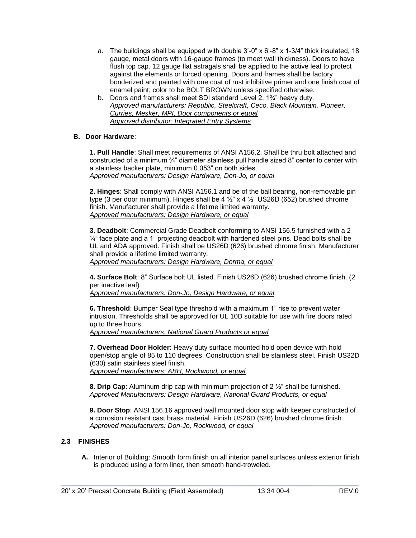- a. The buildings shall be equipped with double  $3'$ -0" x  $6'$ -8" x  $1-3/4$ " thick insulated, 18 gauge, metal doors with 16-gauge frames (to meet wall thickness). Doors to have flush top cap. 12 gauge flat astragals shall be applied to the active leaf to protect against the elements or forced opening. Doors and frames shall be factory bonderized and painted with one coat of rust inhibitive primer and one finish coat of enamel paint; color to be BOLT BROWN unless specified otherwise.
- b. Doors and frames shall meet SDI standard Level 2, 1¾" heavy duty. *Approved manufacturers: Republic, Steelcraft, Ceco, Black Mountain, Pioneer, Curries, Mesker, MPI, Door components or equal Approved distributor: Integrated Entry Systems*

# **B. Door Hardware**:

**1. Pull Handle**: Shall meet requirements of ANSI A156.2. Shall be thru bolt attached and constructed of a minimum ¾" diameter stainless pull handle sized 8" center to center with a stainless backer plate, minimum 0.053" on both sides. *Approved manufacturers: Design Hardware, Don-Jo, or equal*

**2. Hinges**: Shall comply with ANSI A156.1 and be of the ball bearing, non-removable pin type (3 per door minimum). Hinges shall be 4  $\frac{1}{2}$  x 4  $\frac{1}{2}$  US26D (652) brushed chrome finish. Manufacturer shall provide a lifetime limited warranty. *Approved manufacturers: Design Hardware, or equal*

**3. Deadbolt**: Commercial Grade Deadbolt conforming to ANSI 156.5 furnished with a 2  $\frac{1}{4}$ " face plate and a 1" projecting deadbolt with hardened steel pins. Dead bolts shall be UL and ADA approved. Finish shall be US26D (626) brushed chrome finish. Manufacturer shall provide a lifetime limited warranty.

*Approved manufacturers: Design Hardware, Dorma, or equal*

**4. Surface Bolt**: 8" Surface bolt UL listed. Finish US26D (626) brushed chrome finish. (2 per inactive leaf)

*Approved manufacturers: Don-Jo, Design Hardware, or equal*

**6. Threshold**: Bumper Seal type threshold with a maximum 1" rise to prevent water intrusion. Thresholds shall be approved for UL 10B suitable for use with fire doors rated up to three hours.

*Approved manufacturers: National Guard Products or equal* 

**7. Overhead Door Holder**: Heavy duty surface mounted hold open device with hold open/stop angle of 85 to 110 degrees. Construction shall be stainless steel. Finish US32D (630) satin stainless steel finish. *Approved manufacturers: ABH, Rockwood, or equal*

**8. Drip Cap**: Aluminum drip cap with minimum projection of 2 ½" shall be furnished. *Approved Manufacturers: Design Hardware, National Guard Products, or equal*

**9. Door Stop**: ANSI 156.16 approved wall mounted door stop with keeper constructed of a corrosion resistant cast brass material. Finish US26D (626) brushed chrome finish. *Approved manufacturers: Don-Jo, Rockwood, or equal*

# **2.3 FINISHES**

**A.** Interior of Building: Smooth form finish on all interior panel surfaces unless exterior finish is produced using a form liner, then smooth hand-troweled.

\_\_\_\_\_\_\_\_\_\_\_\_\_\_\_\_\_\_\_\_\_\_\_\_\_\_\_\_\_\_\_\_\_\_\_\_\_\_\_\_\_\_\_\_\_\_\_\_\_\_\_\_\_\_\_\_\_\_\_\_\_\_\_\_\_\_\_\_\_\_\_\_\_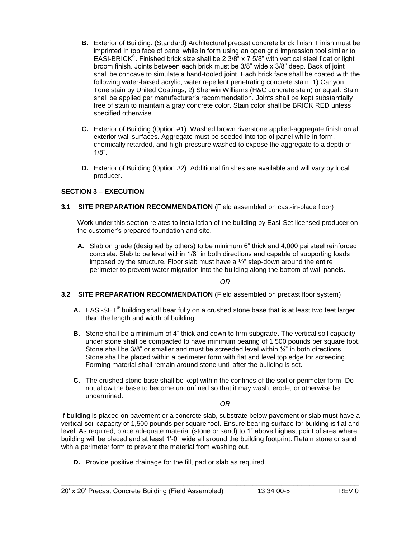- **B.** Exterior of Building: (Standard) Architectural precast concrete brick finish: Finish must be imprinted in top face of panel while in form using an open grid impression tool similar to EASI-BRICK**®** . Finished brick size shall be 2 3/8" x 7 5/8" with vertical steel float or light broom finish. Joints between each brick must be 3/8" wide x 3/8" deep. Back of joint shall be concave to simulate a hand-tooled joint. Each brick face shall be coated with the following water-based acrylic, water repellent penetrating concrete stain: 1) Canyon Tone stain by United Coatings, 2) Sherwin Williams (H&C concrete stain) or equal. Stain shall be applied per manufacturer's recommendation. Joints shall be kept substantially free of stain to maintain a gray concrete color. Stain color shall be BRICK RED unless specified otherwise.
- **C.** Exterior of Building (Option #1): Washed brown riverstone applied-aggregate finish on all exterior wall surfaces. Aggregate must be seeded into top of panel while in form, chemically retarded, and high-pressure washed to expose the aggregate to a depth of 1/8".
- **D.** Exterior of Building (Option #2): Additional finishes are available and will vary by local producer.

## **SECTION 3 – EXECUTION**

**3.1 SITE PREPARATION RECOMMENDATION** (Field assembled on cast-in-place floor)

Work under this section relates to installation of the building by Easi-Set licensed producer on the customer's prepared foundation and site.

**A.** Slab on grade (designed by others) to be minimum 6" thick and 4,000 psi steel reinforced concrete. Slab to be level within 1/8" in both directions and capable of supporting loads imposed by the structure. Floor slab must have a ½" step-down around the entire perimeter to prevent water migration into the building along the bottom of wall panels.

*OR*

### **3.2 SITE PREPARATION RECOMMENDATION** (Field assembled on precast floor system)

- **A.** EASI-SET**®** building shall bear fully on a crushed stone base that is at least two feet larger than the length and width of building.
- **B.** Stone shall be a minimum of 4" thick and down to firm subgrade. The vertical soil capacity under stone shall be compacted to have minimum bearing of 1,500 pounds per square foot. Stone shall be  $3/8$ " or smaller and must be screeded level within  $\frac{1}{4}$ " in both directions. Stone shall be placed within a perimeter form with flat and level top edge for screeding. Forming material shall remain around stone until after the building is set.
- **C.** The crushed stone base shall be kept within the confines of the soil or perimeter form. Do not allow the base to become unconfined so that it may wash, erode, or otherwise be undermined.

*OR*

If building is placed on pavement or a concrete slab, substrate below pavement or slab must have a vertical soil capacity of 1,500 pounds per square foot. Ensure bearing surface for building is flat and level. As required, place adequate material (stone or sand) to 1" above highest point of area where building will be placed and at least 1'-0" wide all around the building footprint. Retain stone or sand with a perimeter form to prevent the material from washing out.

**D.** Provide positive drainage for the fill, pad or slab as required.